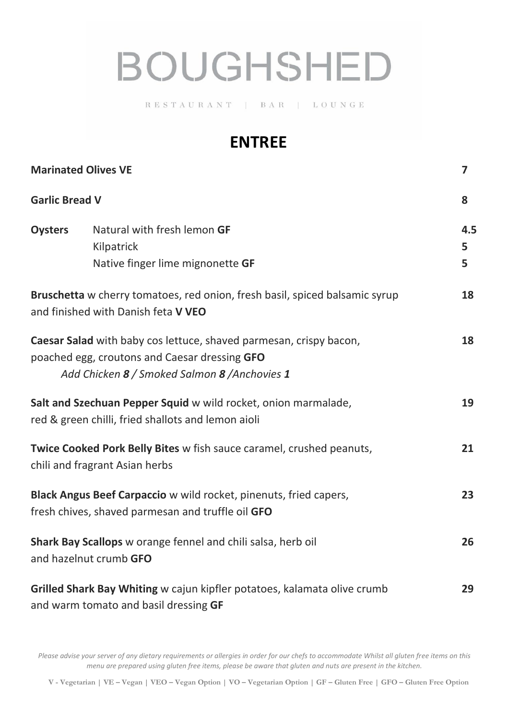## **BOUGHSHED**

 $R \ E \ S \ T \ A \ U \ R \ A \ N \ T \quad | \quad B \ A \ R \quad | \quad L \ O \ U \ N \ G \ E$ 

## **ENTREE**

| <b>Marinated Olives VE</b>                                                                                             |                                                                                                                                                                      | $\overline{\mathbf{z}}$ |
|------------------------------------------------------------------------------------------------------------------------|----------------------------------------------------------------------------------------------------------------------------------------------------------------------|-------------------------|
| <b>Garlic Bread V</b>                                                                                                  |                                                                                                                                                                      | 8                       |
| <b>Oysters</b>                                                                                                         | Natural with fresh lemon GF<br>Kilpatrick<br>Native finger lime mignonette GF                                                                                        | 4.5<br>5<br>5           |
|                                                                                                                        | Bruschetta w cherry tomatoes, red onion, fresh basil, spiced balsamic syrup<br>and finished with Danish feta V VEO                                                   | 18                      |
|                                                                                                                        | Caesar Salad with baby cos lettuce, shaved parmesan, crispy bacon,<br>poached egg, croutons and Caesar dressing GFO<br>Add Chicken 8 / Smoked Salmon 8 / Anchovies 1 | 18                      |
|                                                                                                                        | Salt and Szechuan Pepper Squid w wild rocket, onion marmalade,<br>red & green chilli, fried shallots and lemon aioli                                                 | 19                      |
| Twice Cooked Pork Belly Bites w fish sauce caramel, crushed peanuts,<br>chili and fragrant Asian herbs                 |                                                                                                                                                                      | 21                      |
| Black Angus Beef Carpaccio w wild rocket, pinenuts, fried capers,<br>fresh chives, shaved parmesan and truffle oil GFO |                                                                                                                                                                      | 23                      |
| Shark Bay Scallops w orange fennel and chili salsa, herb oil<br>and hazelnut crumb GFO                                 |                                                                                                                                                                      | 26                      |
| Grilled Shark Bay Whiting w cajun kipfler potatoes, kalamata olive crumb<br>and warm tomato and basil dressing GF      |                                                                                                                                                                      | 29                      |

*Please advise your server of any dietary requirements or allergies in order for our chefs to accommodate Whilst all gluten free items on this menu are prepared using gluten free items, please be aware that gluten and nuts are present in the kitchen.*